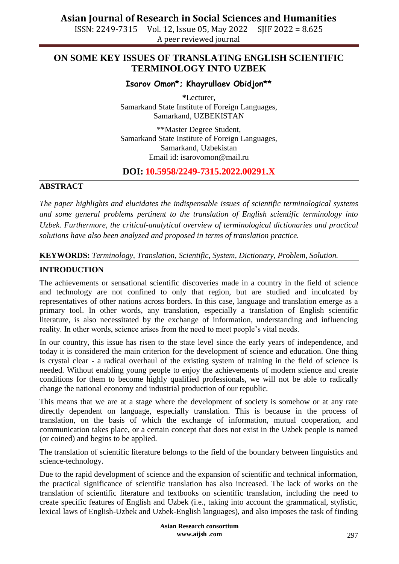ISSN: 2249-7315 Vol. 12, Issue 05, May 2022 SJIF 2022 = 8.625 A peer reviewed journal

## **ON SOME KEY ISSUES OF TRANSLATING ENGLISH SCIENTIFIC TERMINOLOGY INTO UZBEK**

## **Isarov Omon\*; Khayrullaev Obidjon\*\***

**\***Lecturer, Samarkand State Institute of Foreign Languages, Samarkand, UZBEKISTAN

\*\*Master Degree Student, Samarkand State Institute of Foreign Languages, Samarkand, Uzbekistan Email id: isarovomon@mail.ru

## **DOI: 10.5958/2249-7315.2022.00291.X**

#### **ABSTRACT**

*The paper highlights and elucidates the indispensable issues of scientific terminological systems and some general problems pertinent to the translation of English scientific terminology into Uzbek. Furthermore, the critical-analytical overview of terminological dictionaries and practical solutions have also been analyzed and proposed in terms of translation practice.* 

### **KEYWORDS:** *Terminology, Translation, Scientific, System, Dictionary, Problem, Solution.*

### **INTRODUCTION**

The achievements or sensational scientific discoveries made in a country in the field of science and technology are not confined to only that region, but are studied and inculcated by representatives of other nations across borders. In this case, language and translation emerge as a primary tool. In other words, any translation, especially a translation of English scientific literature, is also necessitated by the exchange of information, understanding and influencing reality. In other words, science arises from the need to meet people's vital needs.

In our country, this issue has risen to the state level since the early years of independence, and today it is considered the main criterion for the development of science and education. One thing is crystal clear - a radical overhaul of the existing system of training in the field of science is needed. Without enabling young people to enjoy the achievements of modern science and create conditions for them to become highly qualified professionals, we will not be able to radically change the national economy and industrial production of our republic.

This means that we are at a stage where the development of society is somehow or at any rate directly dependent on language, especially translation. This is because in the process of translation, on the basis of which the exchange of information, mutual cooperation, and communication takes place, or a certain concept that does not exist in the Uzbek people is named (or coined) and begins to be applied.

The translation of scientific literature belongs to the field of the boundary between linguistics and science-technology.

Due to the rapid development of science and the expansion of scientific and technical information, the practical significance of scientific translation has also increased. The lack of works on the translation of scientific literature and textbooks on scientific translation, including the need to create specific features of English and Uzbek (i.e., taking into account the grammatical, stylistic, lexical laws of English-Uzbek and Uzbek-English languages), and also imposes the task of finding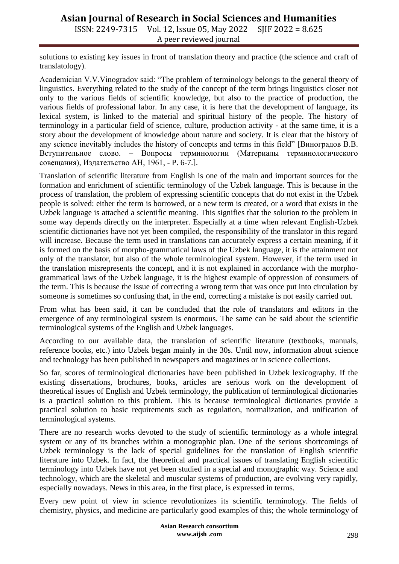# **Asian Journal of Research in Social Sciences and Humanities**

ISSN: 2249-7315 Vol. 12, Issue 05, May 2022 SJIF 2022 = 8.625 A peer reviewed journal

solutions to existing key issues in front of translation theory and practice (the science and craft of translatology).

Academician V.V.Vinogradov said: "The problem of terminology belongs to the general theory of linguistics. Everything related to the study of the concept of the term brings linguistics closer not only to the various fields of scientific knowledge, but also to the practice of production, the various fields of professional labor. In any case, it is here that the development of language, its lexical system, is linked to the material and spiritual history of the people. The history of terminology in a particular field of science, culture, production activity - at the same time, it is a story about the development of knowledge about nature and society. It is clear that the history of any science inevitably includes the history of concepts and terms in this field" [Виноградов В.В. Вступительное слово. – Вопросы терминологии (Материалы терминологического совещания), Издательство АН, 1961, - P. 6-7.].

Translation of scientific literature from English is one of the main and important sources for the formation and enrichment of scientific terminology of the Uzbek language. This is because in the process of translation, the problem of expressing scientific concepts that do not exist in the Uzbek people is solved: either the term is borrowed, or a new term is created, or a word that exists in the Uzbek language is attached a scientific meaning. This signifies that the solution to the problem in some way depends directly on the interpreter. Especially at a time when relevant English-Uzbek scientific dictionaries have not yet been compiled, the responsibility of the translator in this regard will increase. Because the term used in translations can accurately express a certain meaning, if it is formed on the basis of morpho-grammatical laws of the Uzbek language, it is the attainment not only of the translator, but also of the whole terminological system. However, if the term used in the translation misrepresents the concept, and it is not explained in accordance with the morphogrammatical laws of the Uzbek language, it is the highest example of oppression of consumers of the term. This is because the issue of correcting a wrong term that was once put into circulation by someone is sometimes so confusing that, in the end, correcting a mistake is not easily carried out.

From what has been said, it can be concluded that the role of translators and editors in the emergence of any terminological system is enormous. The same can be said about the scientific terminological systems of the English and Uzbek languages.

According to our available data, the translation of scientific literature (textbooks, manuals, reference books, etc.) into Uzbek began mainly in the 30s. Until now, information about science and technology has been published in newspapers and magazines or in science collections.

So far, scores of terminological dictionaries have been published in Uzbek lexicography. If the existing dissertations, brochures, books, articles are serious work on the development of theoretical issues of English and Uzbek terminology, the publication of terminological dictionaries is a practical solution to this problem. This is because terminological dictionaries provide a practical solution to basic requirements such as regulation, normalization, and unification of terminological systems.

There are no research works devoted to the study of scientific terminology as a whole integral system or any of its branches within a monographic plan. One of the serious shortcomings of Uzbek terminology is the lack of special guidelines for the translation of English scientific literature into Uzbek. In fact, the theoretical and practical issues of translating English scientific terminology into Uzbek have not yet been studied in a special and monographic way. Science and technology, which are the skeletal and muscular systems of production, are evolving very rapidly, especially nowadays. News in this area, in the first place, is expressed in terms.

Every new point of view in science revolutionizes its scientific terminology. The fields of chemistry, physics, and medicine are particularly good examples of this; the whole terminology of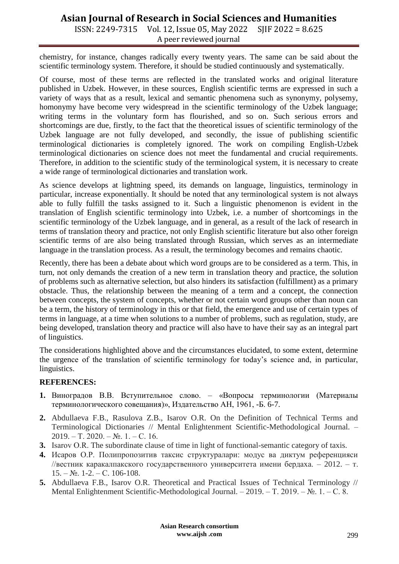# **Asian Journal of Research in Social Sciences and Humanities**

ISSN: 2249-7315 Vol. 12, Issue 05, May 2022 SJIF 2022 = 8.625 A peer reviewed journal

chemistry, for instance, changes radically every twenty years. The same can be said about the scientific terminology system. Therefore, it should be studied continuously and systematically.

Of course, most of these terms are reflected in the translated works and original literature published in Uzbek. However, in these sources, English scientific terms are expressed in such a variety of ways that as a result, lexical and semantic phenomena such as synonymy, polysemy, homonymy have become very widespread in the scientific terminology of the Uzbek language; writing terms in the voluntary form has flourished, and so on. Such serious errors and shortcomings are due, firstly, to the fact that the theoretical issues of scientific terminology of the Uzbek language are not fully developed, and secondly, the issue of publishing scientific terminological dictionaries is completely ignored. The work on compiling English-Uzbek terminological dictionaries on science does not meet the fundamental and crucial requirements. Therefore, in addition to the scientific study of the terminological system, it is necessary to create a wide range of terminological dictionaries and translation work.

As science develops at lightning speed, its demands on language, linguistics, terminology in particular, increase exponentially. It should be noted that any terminological system is not always able to fully fulfill the tasks assigned to it. Such a linguistic phenomenon is evident in the translation of English scientific terminology into Uzbek, i.e. a number of shortcomings in the scientific terminology of the Uzbek language, and in general, as a result of the lack of research in terms of translation theory and practice, not only English scientific literature but also other foreign scientific terms of are also being translated through Russian, which serves as an intermediate language in the translation process. As a result, the terminology becomes and remains chaotic.

Recently, there has been a debate about which word groups are to be considered as a term. This, in turn, not only demands the creation of a new term in translation theory and practice, the solution of problems such as alternative selection, but also hinders its satisfaction (fulfillment) as a primary obstacle. Thus, the relationship between the meaning of a term and a concept, the connection between concepts, the system of concepts, whether or not certain word groups other than noun can be a term, the history of terminology in this or that field, the emergence and use of certain types of terms in language, at a time when solutions to a number of problems, such as regulation, study, are being developed, translation theory and practice will also have to have their say as an integral part of linguistics.

The considerations highlighted above and the circumstances elucidated, to some extent, determine the urgence of the translation of scientific terminology for today's science and, in particular, linguistics.

#### **REFERENCES:**

- **1.** Виноградов В.В. Вступительное слово. «Вопросы терминологии (Материалы терминологического совещания)», Издательство АН, 1961, -Б. 6-7.
- **2.** Abdullaeva F.B., Rasulova Z.B., Isarov O.R. On the Definition of Technical Terms and Terminological Dictionaries // Mental Enlightenment Scientific-Methodological Journal. –  $2019. - T. 2020. - N<sub>2</sub>.$  1. – C. 16.
- **3.** Isarov О.R. The subordinate clause of time in light of functional-semantic category of taxis.
- **4.** Исаров О.Р. Полипропозитив таксис структуралари: модус ва диктум референцияси //вестник каракалпакского государственного университета имени бердаха. – 2012. – т.  $15. - N_2$ . 1-2. – C. 106-108.
- **5.** Abdullaeva F.B., Isarov O.R. Theoretical and Practical Issues of Technical Terminology // Mental Enlightenment Scientific-Methodological Journal. – 2019. – Т. 2019. – №. 1. – С. 8.